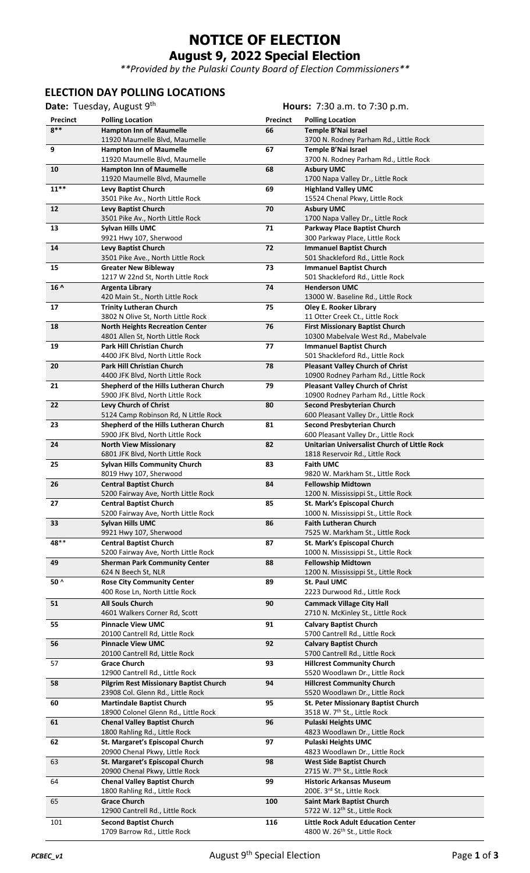# **NOTICE OF ELECTION**

## **August 9, 2022 Special Election**

*\*\*Provided by the Pulaski County Board of Election Commissioners\*\** 

# **ELECTION DAY POLLING LOCATIONS**<br>Date: Tuesday August 9<sup>th</sup>

### **Hours: 7:30 a.m. to 7:30 p.m.**

|          | <b>Dall.</b> Tucsuay, August J                |          | $110013.$ 7.30 a.m. to 7.30 p.m.             |
|----------|-----------------------------------------------|----------|----------------------------------------------|
| Precinct | <b>Polling Location</b>                       | Precinct | <b>Polling Location</b>                      |
| $8**$    | <b>Hampton Inn of Maumelle</b>                | 66       | Temple B'Nai Israel                          |
|          | 11920 Maumelle Blvd, Maumelle                 |          | 3700 N. Rodney Parham Rd., Little Rock       |
| 9        | <b>Hampton Inn of Maumelle</b>                | 67       | Temple B'Nai Israel                          |
|          | 11920 Maumelle Blvd, Maumelle                 |          | 3700 N. Rodney Parham Rd., Little Rock       |
|          |                                               | 68       |                                              |
| 10       | <b>Hampton Inn of Maumelle</b>                |          | <b>Asbury UMC</b>                            |
|          | 11920 Maumelle Blvd, Maumelle                 |          | 1700 Napa Valley Dr., Little Rock            |
| $11***$  | Levy Baptist Church                           | 69       | <b>Highland Valley UMC</b>                   |
|          | 3501 Pike Av., North Little Rock              |          | 15524 Chenal Pkwy, Little Rock               |
| 12       | Levy Baptist Church                           | 70       | <b>Asbury UMC</b>                            |
|          | 3501 Pike Av., North Little Rock              |          | 1700 Napa Valley Dr., Little Rock            |
| 13       | <b>Sylvan Hills UMC</b>                       | 71       | Parkway Place Baptist Church                 |
|          |                                               |          |                                              |
|          | 9921 Hwy 107, Sherwood                        |          | 300 Parkway Place, Little Rock               |
| 14       | Levy Baptist Church                           | 72       | <b>Immanuel Baptist Church</b>               |
|          | 3501 Pike Ave., North Little Rock             |          | 501 Shackleford Rd., Little Rock             |
| 15       | <b>Greater New Bibleway</b>                   | 73       | <b>Immanuel Baptist Church</b>               |
|          | 1217 W 22nd St, North Little Rock             |          | 501 Shackleford Rd., Little Rock             |
| $16^$    | <b>Argenta Library</b>                        | 74       | <b>Henderson UMC</b>                         |
|          | 420 Main St., North Little Rock               |          | 13000 W. Baseline Rd., Little Rock           |
|          | <b>Trinity Lutheran Church</b>                |          |                                              |
| 17       |                                               | 75       | <b>Oley E. Rooker Library</b>                |
|          | 3802 N Olive St, North Little Rock            |          | 11 Otter Creek Ct., Little Rock              |
| 18       | <b>North Heights Recreation Center</b>        | 76       | <b>First Missionary Baptist Church</b>       |
|          | 4801 Allen St, North Little Rock              |          | 10300 Mabelvale West Rd., Mabelvale          |
| 19       | <b>Park Hill Christian Church</b>             | 77       | <b>Immanuel Baptist Church</b>               |
|          | 4400 JFK Blvd, North Little Rock              |          | 501 Shackleford Rd., Little Rock             |
| 20       | <b>Park Hill Christian Church</b>             | 78       | <b>Pleasant Valley Church of Christ</b>      |
|          | 4400 JFK Blvd, North Little Rock              |          | 10900 Rodney Parham Rd., Little Rock         |
|          |                                               |          |                                              |
| 21       | Shepherd of the Hills Lutheran Church         | 79       | <b>Pleasant Valley Church of Christ</b>      |
|          | 5900 JFK Blvd, North Little Rock              |          | 10900 Rodney Parham Rd., Little Rock         |
| 22       | Levy Church of Christ                         | 80       | <b>Second Presbyterian Church</b>            |
|          | 5124 Camp Robinson Rd, N Little Rock          |          | 600 Pleasant Valley Dr., Little Rock         |
| 23       | Shepherd of the Hills Lutheran Church         | 81       | Second Presbyterian Church                   |
|          | 5900 JFK Blvd, North Little Rock              |          | 600 Pleasant Valley Dr., Little Rock         |
|          |                                               |          |                                              |
| 24       | <b>North View Missionary</b>                  | 82       | Unitarian Universalist Church of Little Rock |
|          | 6801 JFK Blvd, North Little Rock              |          | 1818 Reservoir Rd., Little Rock              |
| 25       | <b>Sylvan Hills Community Church</b>          | 83       | <b>Faith UMC</b>                             |
|          | 8019 Hwy 107, Sherwood                        |          | 9820 W. Markham St., Little Rock             |
| 26       | <b>Central Baptist Church</b>                 | 84       | <b>Fellowship Midtown</b>                    |
|          | 5200 Fairway Ave, North Little Rock           |          | 1200 N. Mississippi St., Little Rock         |
| 27       | <b>Central Baptist Church</b>                 | 85       | St. Mark's Episcopal Church                  |
|          |                                               |          |                                              |
|          | 5200 Fairway Ave, North Little Rock           |          | 1000 N. Mississippi St., Little Rock         |
| 33       | <b>Sylvan Hills UMC</b>                       | 86       | <b>Faith Lutheran Church</b>                 |
|          | 9921 Hwy 107, Sherwood                        |          | 7525 W. Markham St., Little Rock             |
| 48**     | <b>Central Baptist Church</b>                 | 87       | St. Mark's Episcopal Church                  |
|          | 5200 Fairway Ave, North Little Rock           |          | 1000 N. Mississippi St., Little Rock         |
| 49       | <b>Sherman Park Community Center</b>          | 88       | <b>Fellowship Midtown</b>                    |
|          | 624 N Beech St, NLR                           |          | 1200 N. Mississippi St., Little Rock         |
|          | <b>Rose City Community Center</b>             | 89       | St. Paul UMC                                 |
| 50 ^     |                                               |          |                                              |
|          | 400 Rose Ln, North Little Rock                |          | 2223 Durwood Rd., Little Rock                |
| 51       | <b>All Souls Church</b>                       | 90       | <b>Cammack Village City Hall</b>             |
|          | 4601 Walkers Corner Rd, Scott                 |          | 2710 N. McKinley St., Little Rock            |
| 55       | <b>Pinnacle View UMC</b>                      | 91       | <b>Calvary Baptist Church</b>                |
|          | 20100 Cantrell Rd, Little Rock                |          | 5700 Cantrell Rd., Little Rock               |
|          |                                               |          |                                              |
| 56       | <b>Pinnacle View UMC</b>                      | 92       | <b>Calvary Baptist Church</b>                |
|          | 20100 Cantrell Rd, Little Rock                |          | 5700 Cantrell Rd., Little Rock               |
| 57       | <b>Grace Church</b>                           | 93       | <b>Hillcrest Community Church</b>            |
|          | 12900 Cantrell Rd., Little Rock               |          | 5520 Woodlawn Dr., Little Rock               |
| 58       | <b>Pilgrim Rest Missionary Baptist Church</b> | 94       | <b>Hillcrest Community Church</b>            |
|          | 23908 Col. Glenn Rd., Little Rock             |          | 5520 Woodlawn Dr., Little Rock               |
|          |                                               |          |                                              |
| 60       | <b>Martindale Baptist Church</b>              | 95       | St. Peter Missionary Baptist Church          |
|          | 18900 Colonel Glenn Rd., Little Rock          |          | 3518 W. 7 <sup>th</sup> St., Little Rock     |
| 61       | <b>Chenal Valley Baptist Church</b>           | 96       | <b>Pulaski Heights UMC</b>                   |
|          | 1800 Rahling Rd., Little Rock                 |          | 4823 Woodlawn Dr., Little Rock               |
| 62       | St. Margaret's Episcopal Church               | 97       | <b>Pulaski Heights UMC</b>                   |
|          | 20900 Chenal Pkwy, Little Rock                |          | 4823 Woodlawn Dr., Little Rock               |
| 63       | St. Margaret's Episcopal Church               | 98       | <b>West Side Baptist Church</b>              |
|          |                                               |          |                                              |
|          | 20900 Chenal Pkwy, Little Rock                |          | 2715 W. 7 <sup>th</sup> St., Little Rock     |
| 64       | <b>Chenal Valley Baptist Church</b>           | 99       | <b>Historic Arkansas Museum</b>              |
|          | 1800 Rahling Rd., Little Rock                 |          | 200E. 3rd St., Little Rock                   |
| 65       | <b>Grace Church</b>                           | 100      | <b>Saint Mark Baptist Church</b>             |
|          | 12900 Cantrell Rd., Little Rock               |          | 5722 W. 12 <sup>th</sup> St., Little Rock    |
|          | <b>Second Baptist Church</b>                  |          | <b>Little Rock Adult Education Center</b>    |
| 101      |                                               | 116      |                                              |
|          | 1709 Barrow Rd., Little Rock                  |          | 4800 W. 26 <sup>th</sup> St., Little Rock    |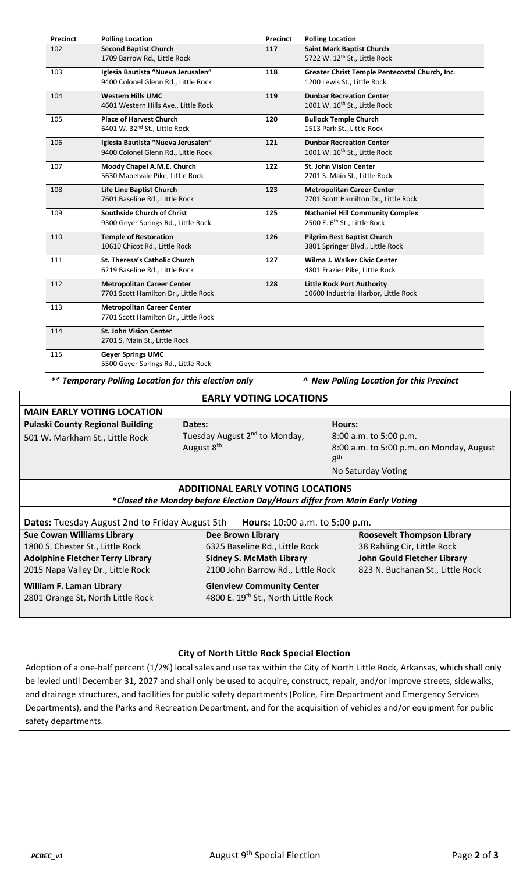| <b>Precinct</b> | <b>Polling Location</b>                   | Precinct | <b>Polling Location</b>                        |
|-----------------|-------------------------------------------|----------|------------------------------------------------|
| 102             | <b>Second Baptist Church</b>              | 117      | <b>Saint Mark Baptist Church</b>               |
|                 | 1709 Barrow Rd., Little Rock              |          | 5722 W. 12 <sup>th</sup> St., Little Rock      |
| 103             | Iglesia Bautista "Nueva Jerusalen"        | 118      | Greater Christ Temple Pentecostal Church, Inc. |
|                 | 9400 Colonel Glenn Rd., Little Rock       |          | 1200 Lewis St., Little Rock                    |
| 104             | <b>Western Hills UMC</b>                  | 119      | <b>Dunbar Recreation Center</b>                |
|                 | 4601 Western Hills Ave., Little Rock      |          | 1001 W. 16 <sup>th</sup> St., Little Rock      |
| 105             | <b>Place of Harvest Church</b>            | 120      | <b>Bullock Temple Church</b>                   |
|                 | 6401 W. 32 <sup>nd</sup> St., Little Rock |          | 1513 Park St., Little Rock                     |
| 106             | Iglesia Bautista "Nueva Jerusalen"        | 121      | <b>Dunbar Recreation Center</b>                |
|                 | 9400 Colonel Glenn Rd., Little Rock       |          | 1001 W. $16th$ St., Little Rock                |
| 107             | Moody Chapel A.M.E. Church                | 122      | <b>St. John Vision Center</b>                  |
|                 | 5630 Mabelvale Pike, Little Rock          |          | 2701 S. Main St., Little Rock                  |
| 108             | Life Line Baptist Church                  | 123      | <b>Metropolitan Career Center</b>              |
|                 | 7601 Baseline Rd., Little Rock            |          | 7701 Scott Hamilton Dr., Little Rock           |
| 109             | Southside Church of Christ                | 125      | <b>Nathaniel Hill Community Complex</b>        |
|                 | 9300 Geyer Springs Rd., Little Rock       |          | 2500 E. 6 <sup>th</sup> St., Little Rock       |
| 110             | <b>Temple of Restoration</b>              | 126      | <b>Pilgrim Rest Baptist Church</b>             |
|                 | 10610 Chicot Rd., Little Rock             |          | 3801 Springer Blvd., Little Rock               |
| 111             | St. Theresa's Catholic Church             | 127      | Wilma J. Walker Civic Center                   |
|                 | 6219 Baseline Rd., Little Rock            |          | 4801 Frazier Pike, Little Rock                 |
| 112             | <b>Metropolitan Career Center</b>         | 128      | <b>Little Rock Port Authority</b>              |
|                 | 7701 Scott Hamilton Dr., Little Rock      |          | 10600 Industrial Harbor, Little Rock           |
| 113             | <b>Metropolitan Career Center</b>         |          |                                                |
|                 | 7701 Scott Hamilton Dr., Little Rock      |          |                                                |
| 114             | <b>St. John Vision Center</b>             |          |                                                |
|                 | 2701 S. Main St., Little Rock             |          |                                                |
| 115             | <b>Geyer Springs UMC</b>                  |          |                                                |
|                 | 5500 Geyer Springs Rd., Little Rock       |          |                                                |

 *\*\* Temporary Polling Location for this election only ^ New Polling Location for this Precinct* 

### **EARLY VOTING LOCATIONS**

| MAIN EARLY VOTING LOCATION              |    |
|-----------------------------------------|----|
| <b>Pulaski County Regional Building</b> | Da |
| 501 W. Markham St., Little Rock         | Tu |

**Dates:**  esday August 2<sup>nd</sup> to Monday, August 8<sup>th</sup>

**Hours:**  8:00 a.m. to 5:00 p.m. 8:00 a.m. to 5:00 p.m. on Monday, August 8th

No Saturday Voting

### **ADDITIONAL EARLY VOTING LOCATIONS**

**\****Closed the Monday before Election Day/Hours differ from Main Early Voting*

| <b>Dates:</b> Tuesday August 2nd to Friday August 5th<br><b>Hours:</b> 10:00 a.m. to 5:00 p.m. |                                                                         |                                   |  |  |  |
|------------------------------------------------------------------------------------------------|-------------------------------------------------------------------------|-----------------------------------|--|--|--|
| <b>Sue Cowan Williams Library</b>                                                              | <b>Dee Brown Library</b>                                                | <b>Roosevelt Thompson Library</b> |  |  |  |
| 1800 S. Chester St., Little Rock                                                               | 6325 Baseline Rd., Little Rock                                          | 38 Rahling Cir, Little Rock       |  |  |  |
| <b>Adolphine Fletcher Terry Library</b>                                                        | <b>Sidney S. McMath Library</b>                                         | John Gould Fletcher Library       |  |  |  |
| 2015 Napa Valley Dr., Little Rock                                                              | 2100 John Barrow Rd., Little Rock                                       | 823 N. Buchanan St., Little Rock  |  |  |  |
| <b>William F. Laman Library</b><br>2801 Orange St, North Little Rock                           | <b>Glenview Community Center</b><br>4800 E. 19th St., North Little Rock |                                   |  |  |  |

### **City of North Little Rock Special Election**

Adoption of a one-half percent (1/2%) local sales and use tax within the City of North Little Rock, Arkansas, which shall only be levied until December 31, 2027 and shall only be used to acquire, construct, repair, and/or improve streets, sidewalks, and drainage structures, and facilities for public safety departments (Police, Fire Department and Emergency Services Departments), and the Parks and Recreation Department, and for the acquisition of vehicles and/or equipment for public safety departments.